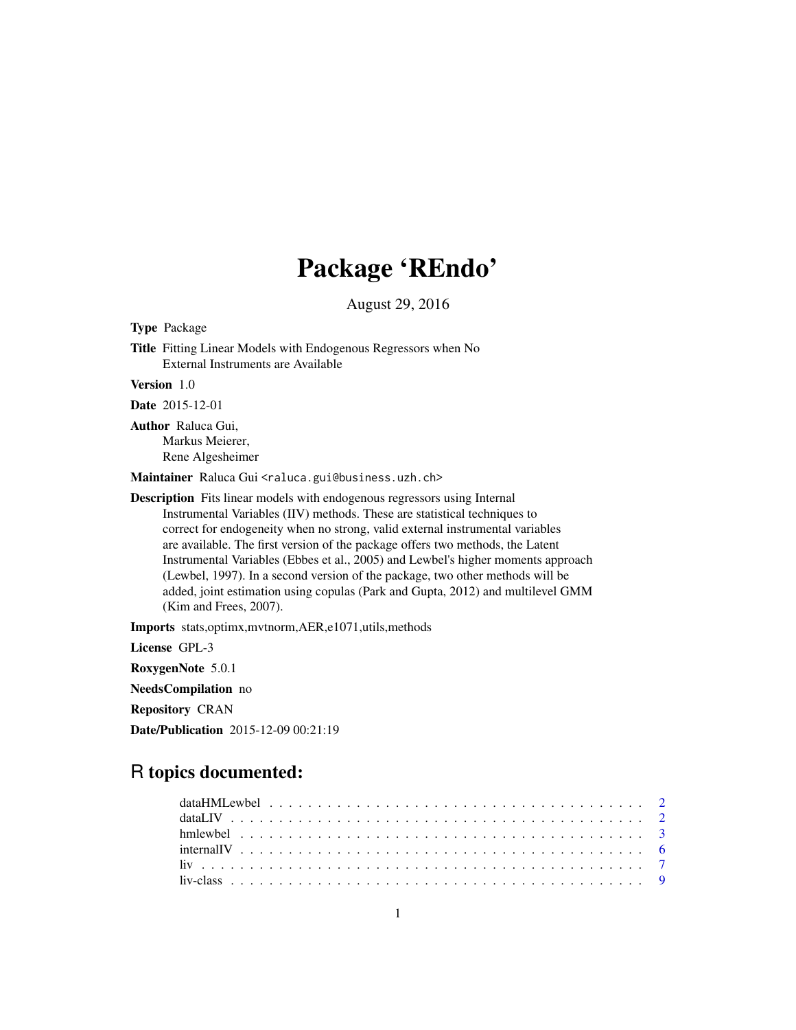# Package 'REndo'

August 29, 2016

Title Fitting Linear Models with Endogenous Regressors when No External Instruments are Available Version 1.0 Date 2015-12-01 Author Raluca Gui, Markus Meierer, Rene Algesheimer Maintainer Raluca Gui <raluca.gui@business.uzh.ch> Description Fits linear models with endogenous regressors using Internal Instrumental Variables (IIV) methods. These are statistical techniques to correct for endogeneity when no strong, valid external instrumental variables are available. The first version of the package offers two methods, the Latent Instrumental Variables (Ebbes et al., 2005) and Lewbel's higher moments approach (Lewbel, 1997). In a second version of the package, two other methods will be added, joint estimation using copulas (Park and Gupta, 2012) and multilevel GMM (Kim and Frees, 2007). Imports stats,optimx,mvtnorm,AER,e1071,utils,methods License GPL-3 RoxygenNote 5.0.1 NeedsCompilation no Repository CRAN Date/Publication 2015-12-09 00:21:19

# R topics documented:

<span id="page-0-0"></span>Type Package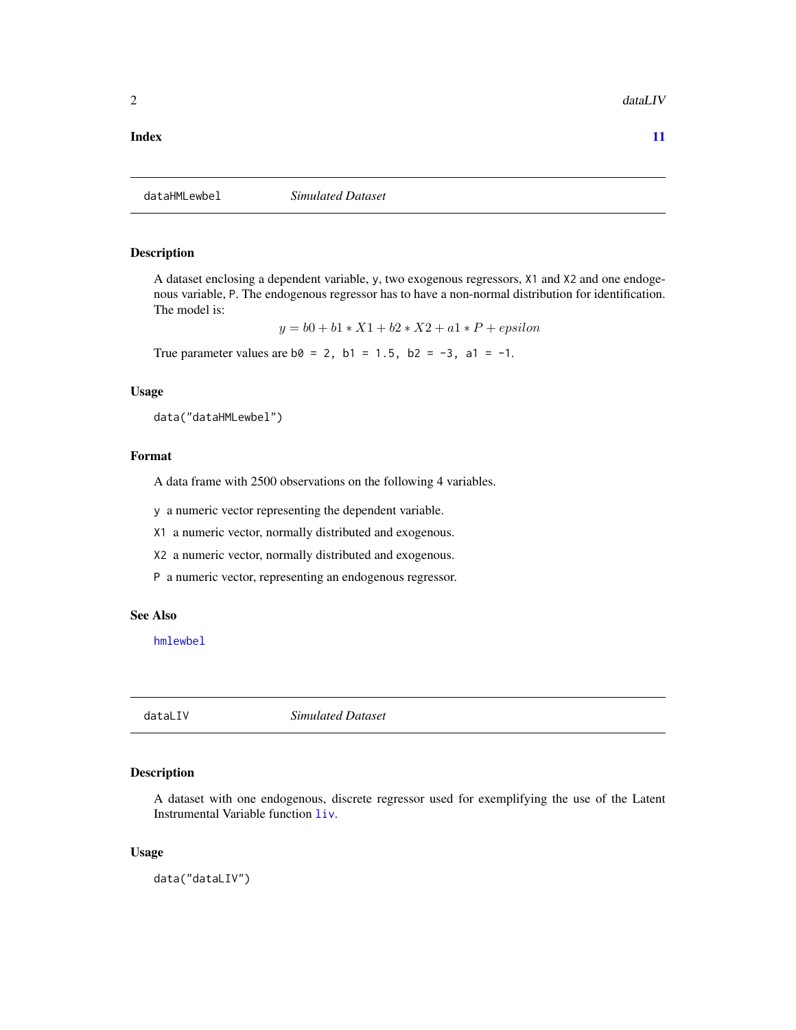# <span id="page-1-0"></span>**Index** [11](#page-10-0)

dataHMLewbel *Simulated Dataset*

# Description

A dataset enclosing a dependent variable, y, two exogenous regressors, X1 and X2 and one endogenous variable, P. The endogenous regressor has to have a non-normal distribution for identification. The model is:

 $y = b0 + b1 * X1 + b2 * X2 + a1 * P + epsilon$ 

True parameter values are  $b0 = 2$ ,  $b1 = 1.5$ ,  $b2 = -3$ ,  $a1 = -1$ .

# Usage

data("dataHMLewbel")

# Format

A data frame with 2500 observations on the following 4 variables.

y a numeric vector representing the dependent variable.

X1 a numeric vector, normally distributed and exogenous.

X2 a numeric vector, normally distributed and exogenous.

P a numeric vector, representing an endogenous regressor.

# See Also

[hmlewbel](#page-2-1)

dataLIV *Simulated Dataset*

# Description

A dataset with one endogenous, discrete regressor used for exemplifying the use of the Latent Instrumental Variable function [liv](#page-6-1).

# Usage

data("dataLIV")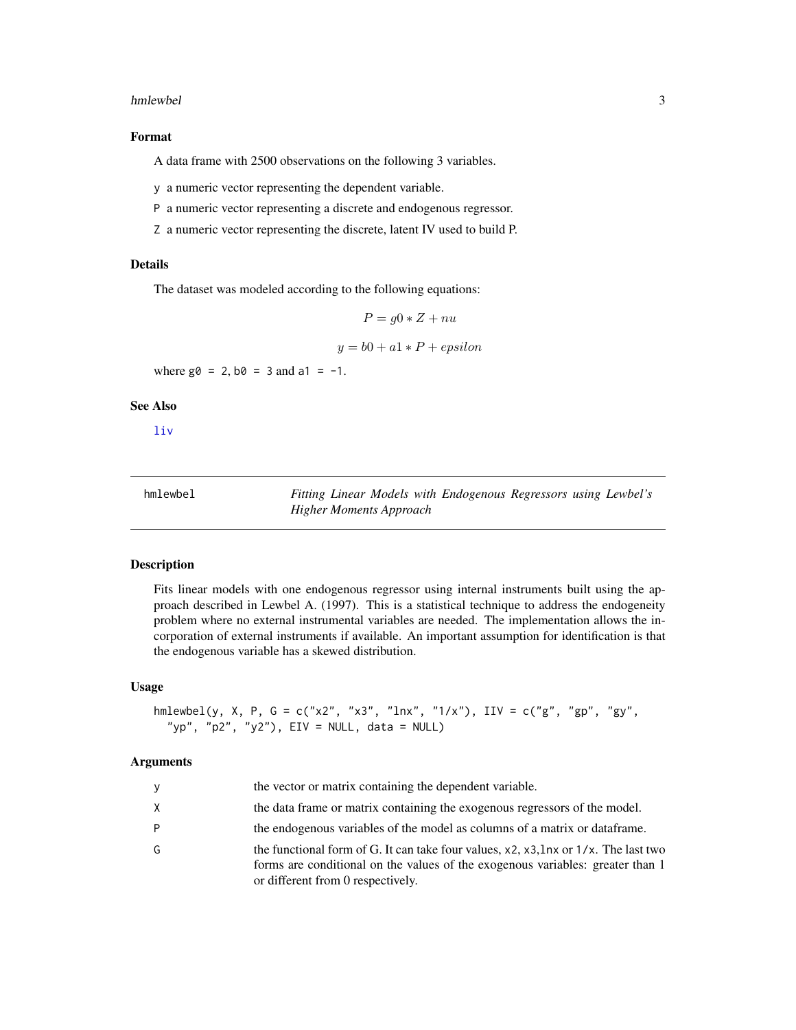# <span id="page-2-0"></span>hmlewbel 3

# Format

A data frame with 2500 observations on the following 3 variables.

y a numeric vector representing the dependent variable.

P a numeric vector representing a discrete and endogenous regressor.

Z a numeric vector representing the discrete, latent IV used to build P.

# Details

The dataset was modeled according to the following equations:

$$
P = g0 * Z + nu
$$

$$
y = b0 + a1 \cdot P + epsilon
$$

where  $g0 = 2$ ,  $b0 = 3$  and  $a1 = -1$ .

# See Also

[liv](#page-6-1)

<span id="page-2-1"></span>

| hmlewbel | Fitting Linear Models with Endogenous Regressors using Lewbel's |
|----------|-----------------------------------------------------------------|
|          | Higher Moments Approach                                         |

# Description

Fits linear models with one endogenous regressor using internal instruments built using the approach described in Lewbel A. (1997). This is a statistical technique to address the endogeneity problem where no external instrumental variables are needed. The implementation allows the incorporation of external instruments if available. An important assumption for identification is that the endogenous variable has a skewed distribution.

# Usage

```
hmlewbel(y, X, P, G = c("x2", "x3", "lnx", "1/x"), IIV = c("g", "gp", "gy",
  "yp", "p2", "y2"), EIV = NULL, data = NULL)
```
# Arguments

|              | the vector or matrix containing the dependent variable.                                                                                                                                                    |
|--------------|------------------------------------------------------------------------------------------------------------------------------------------------------------------------------------------------------------|
| $\mathsf{X}$ | the data frame or matrix containing the exogenous regressors of the model.                                                                                                                                 |
| -P           | the endogenous variables of the model as columns of a matrix or dataframe.                                                                                                                                 |
| G            | the functional form of G. It can take four values, x2, x3, lnx or 1/x. The last two<br>forms are conditional on the values of the exogenous variables: greater than 1<br>or different from 0 respectively. |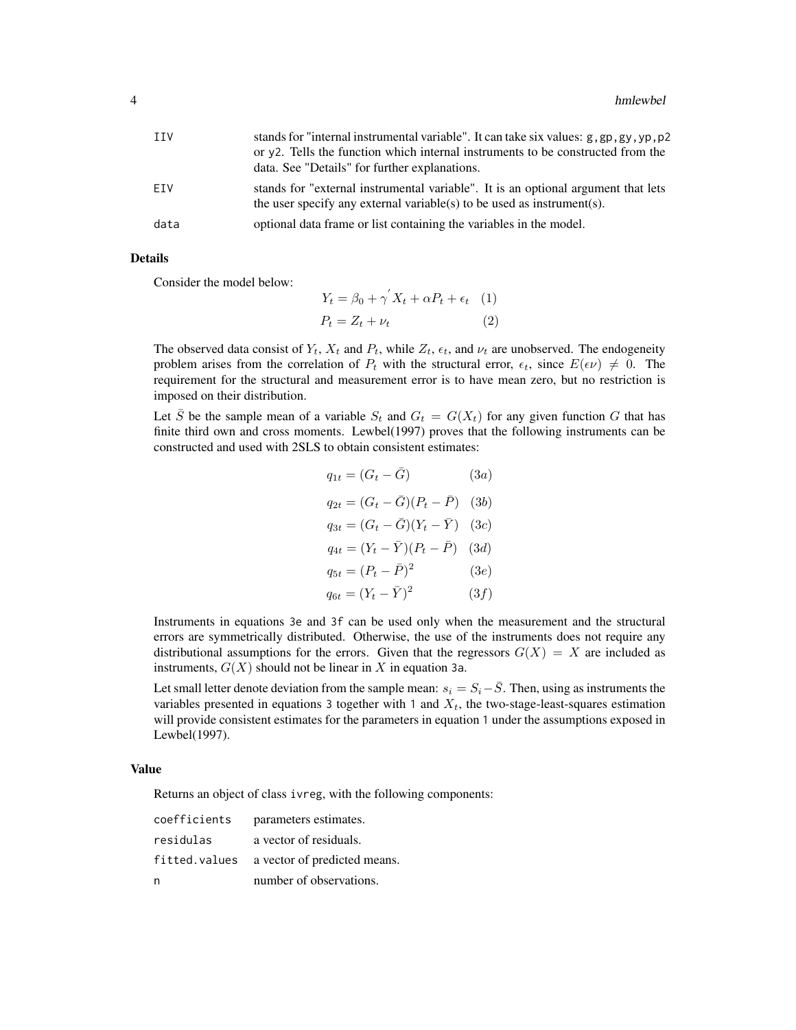| <b>TTV</b> | stands for "internal instrumental variable". It can take six values: g, gp, gy, yp, p2<br>or y2. Tells the function which internal instruments to be constructed from the |
|------------|---------------------------------------------------------------------------------------------------------------------------------------------------------------------------|
|            | data. See "Details" for further explanations.                                                                                                                             |
| FTV        | stands for "external instrumental variable". It is an optional argument that lets<br>the user specify any external variable(s) to be used as instrument(s).               |
| data       | optional data frame or list containing the variables in the model.                                                                                                        |

# Details

Consider the model below:

$$
Y_t = \beta_0 + \gamma^{'} X_t + \alpha P_t + \epsilon_t \quad (1)
$$

$$
P_t = Z_t + \nu_t \quad (2)
$$

The observed data consist of  $Y_t$ ,  $X_t$  and  $P_t$ , while  $Z_t$ ,  $\epsilon_t$ , and  $\nu_t$  are unobserved. The endogeneity problem arises from the correlation of  $P_t$  with the structural error,  $\epsilon_t$ , since  $E(\epsilon \nu) \neq 0$ . The requirement for the structural and measurement error is to have mean zero, but no restriction is imposed on their distribution.

Let  $\overline{S}$  be the sample mean of a variable  $S_t$  and  $G_t = G(X_t)$  for any given function G that has finite third own and cross moments. Lewbel(1997) proves that the following instruments can be constructed and used with 2SLS to obtain consistent estimates:

$$
q_{1t} = (G_t - \bar{G}) \qquad (3a)
$$
  
\n
$$
q_{2t} = (G_t - \bar{G})(P_t - \bar{P}) \quad (3b)
$$
  
\n
$$
q_{3t} = (G_t - \bar{G})(Y_t - \bar{Y}) \quad (3c)
$$
  
\n
$$
q_{4t} = (Y_t - \bar{Y})(P_t - \bar{P}) \quad (3d)
$$
  
\n
$$
q_{5t} = (P_t - \bar{P})^2 \quad (3e)
$$
  
\n
$$
q_{6t} = (Y_t - \bar{Y})^2 \quad (3f)
$$

Instruments in equations 3e and 3f can be used only when the measurement and the structural errors are symmetrically distributed. Otherwise, the use of the instruments does not require any distributional assumptions for the errors. Given that the regressors  $G(X) = X$  are included as instruments,  $G(X)$  should not be linear in X in equation 3a.

Let small letter denote deviation from the sample mean:  $s_i = S_i - \overline{S}$ . Then, using as instruments the variables presented in equations 3 together with 1 and  $X_t$ , the two-stage-least-squares estimation will provide consistent estimates for the parameters in equation 1 under the assumptions exposed in Lewbel(1997).

### Value

Returns an object of class ivreg, with the following components:

| coefficients | parameters estimates.                      |
|--------------|--------------------------------------------|
| residulas    | a vector of residuals.                     |
|              | fitted.values a vector of predicted means. |
| n            | number of observations.                    |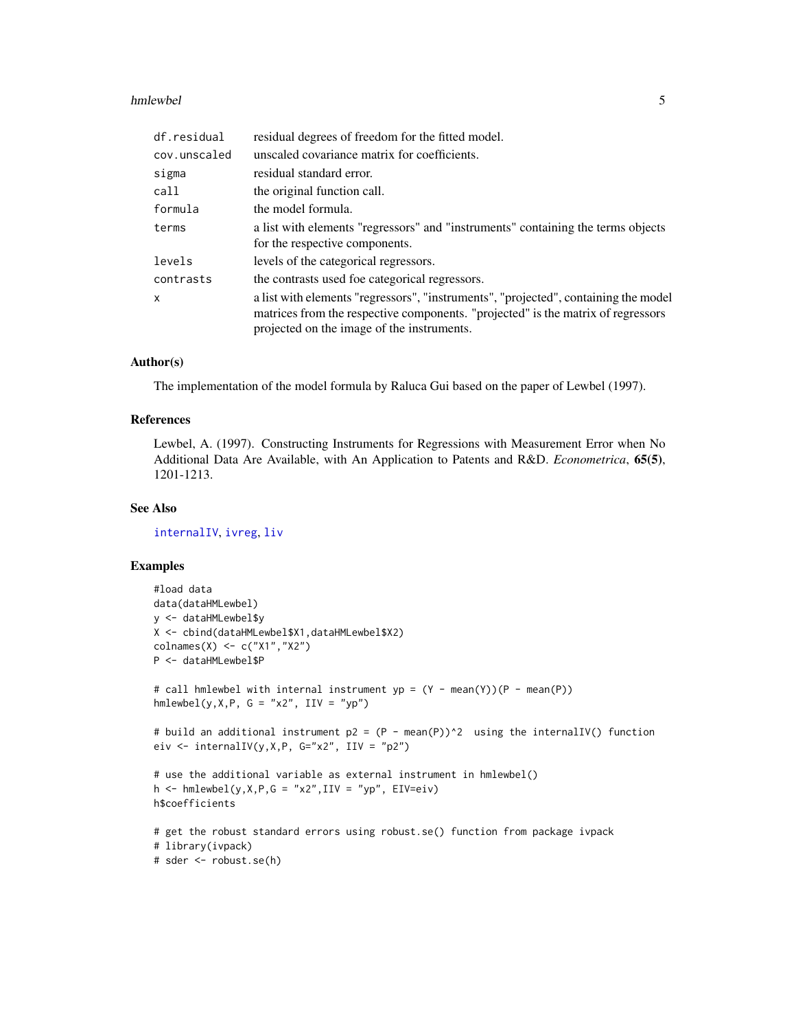# <span id="page-4-0"></span>hmlewbel 55

| df.residual  | residual degrees of freedom for the fitted model.                                                                                                                                                                     |
|--------------|-----------------------------------------------------------------------------------------------------------------------------------------------------------------------------------------------------------------------|
| cov.unscaled | unscaled covariance matrix for coefficients.                                                                                                                                                                          |
| sigma        | residual standard error.                                                                                                                                                                                              |
| call         | the original function call.                                                                                                                                                                                           |
| formula      | the model formula.                                                                                                                                                                                                    |
| terms        | a list with elements "regressors" and "instruments" containing the terms objects<br>for the respective components.                                                                                                    |
| levels       | levels of the categorical regressors.                                                                                                                                                                                 |
| contrasts    | the contrasts used foe categorical regressors.                                                                                                                                                                        |
| X            | a list with elements "regressors", "instruments", "projected", containing the model<br>matrices from the respective components. "projected" is the matrix of regressors<br>projected on the image of the instruments. |

# Author(s)

The implementation of the model formula by Raluca Gui based on the paper of Lewbel (1997).

# References

Lewbel, A. (1997). Constructing Instruments for Regressions with Measurement Error when No Additional Data Are Available, with An Application to Patents and R&D. *Econometrica*, 65(5), 1201-1213.

# See Also

[internalIV](#page-5-1), [ivreg](#page-0-0), [liv](#page-6-1)

# Examples

```
#load data
data(dataHMLewbel)
y <- dataHMLewbel$y
X <- cbind(dataHMLewbel$X1,dataHMLewbel$X2)
colnames(X) <- c("X1","X2")
P <- dataHMLewbel$P
# call hmlewbel with internal instrument yp = (Y - mean(Y))(P - mean(P))
hmlewbel(y, X, P, G = "x2", III = "yp")# build an additional instrument p2 = (P - mean(P))^2 using the internalIV() function
eiv \le internalIV(y, X, P, G="x2", IIV = "p2")
# use the additional variable as external instrument in hmlewbel()
h \le -hmlewbel(y, X, P, G = "x2", IIV = "yp", EIV=eiv)h$coefficients
# get the robust standard errors using robust.se() function from package ivpack
# library(ivpack)
```

```
# sder <- robust.se(h)
```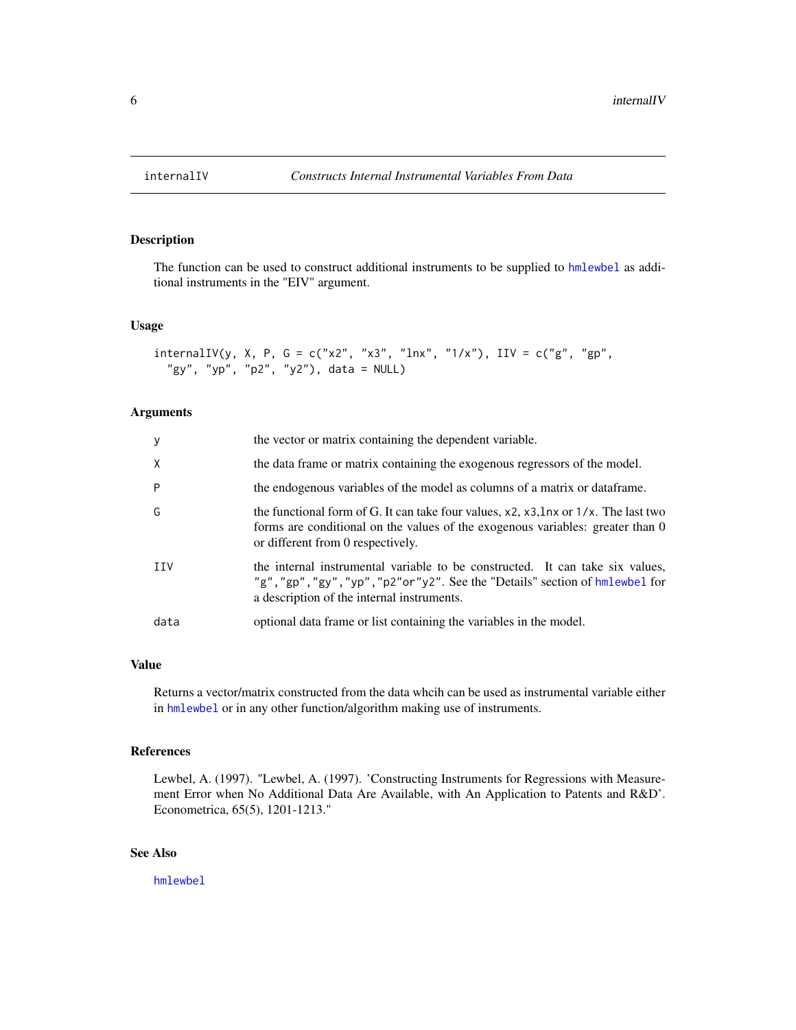<span id="page-5-1"></span><span id="page-5-0"></span>

# Description

The function can be used to construct additional instruments to be supplied to [hmlewbel](#page-2-1) as additional instruments in the "EIV" argument.

# Usage

```
intervalIV(y, X, P, G = c("x2", "x3", "lnx", "1/x"), IIV = c("g", "gp","gy", "yp", "p2", "y2"), data = NULL)
```
# Arguments

| y            | the vector or matrix containing the dependent variable.                                                                                                                                                                   |
|--------------|---------------------------------------------------------------------------------------------------------------------------------------------------------------------------------------------------------------------------|
| $\mathsf{X}$ | the data frame or matrix containing the exogenous regressors of the model.                                                                                                                                                |
| P            | the endogenous variables of the model as columns of a matrix or dataframe.                                                                                                                                                |
| G            | the functional form of G. It can take four values, $x^2$ , $x^3$ , $\ln x$ or $1/x$ . The last two<br>forms are conditional on the values of the exogenous variables: greater than 0<br>or different from 0 respectively. |
| <b>TTV</b>   | the internal instrumental variable to be constructed. It can take six values,<br>"g", "gp", "gy", "yp", "p2"or"y2". See the "Details" section of hmlewbel for<br>a description of the internal instruments.               |
| data         | optional data frame or list containing the variables in the model.                                                                                                                                                        |

# Value

Returns a vector/matrix constructed from the data whcih can be used as instrumental variable either in [hmlewbel](#page-2-1) or in any other function/algorithm making use of instruments.

# References

Lewbel, A. (1997). "Lewbel, A. (1997). 'Constructing Instruments for Regressions with Measurement Error when No Additional Data Are Available, with An Application to Patents and R&D'. Econometrica, 65(5), 1201-1213."

# See Also

[hmlewbel](#page-2-1)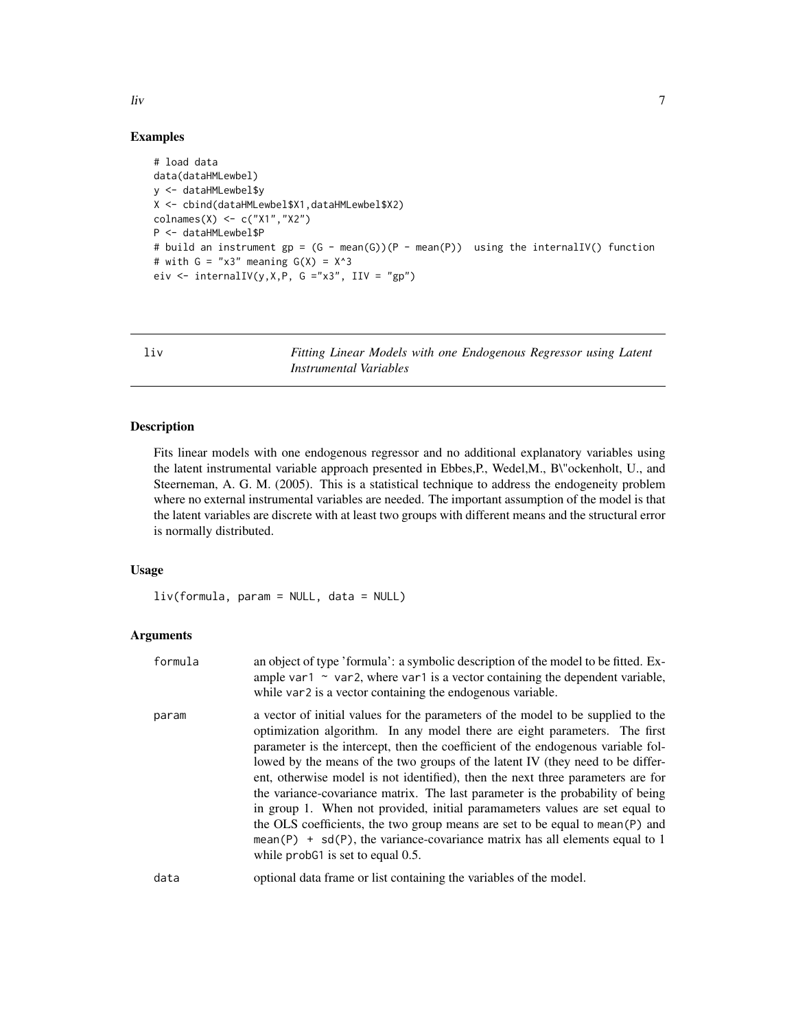# Examples

```
# load data
data(dataHMLewbel)
y <- dataHMLewbel$y
X <- cbind(dataHMLewbel$X1,dataHMLewbel$X2)
colnames(X) <- c("X1","X2")
P <- dataHMLewbel$P
# build an instrument gp = (G - mean(G))(P - mean(P)) using the internalIV() function
# with G = "x3" meaning G(X) = X^3eiv \le internalIV(y, X, P, G ="x3", IIV = "gp")
```
<span id="page-6-1"></span>liv *Fitting Linear Models with one Endogenous Regressor using Latent Instrumental Variables*

# Description

Fits linear models with one endogenous regressor and no additional explanatory variables using the latent instrumental variable approach presented in Ebbes,P., Wedel,M., B\"ockenholt, U., and Steerneman, A. G. M. (2005). This is a statistical technique to address the endogeneity problem where no external instrumental variables are needed. The important assumption of the model is that the latent variables are discrete with at least two groups with different means and the structural error is normally distributed.

# Usage

liv(formula, param = NULL, data = NULL)

# Arguments

| formula      | an object of type 'formula': a symbolic description of the model to be fitted. Ex-<br>ample var1 $\sim$ var2, where var1 is a vector containing the dependent variable,<br>while var2 is a vector containing the endogenous variable.                                                                                                                                                                                                                                                                                                                                                                                                                                                                                                                                                               |
|--------------|-----------------------------------------------------------------------------------------------------------------------------------------------------------------------------------------------------------------------------------------------------------------------------------------------------------------------------------------------------------------------------------------------------------------------------------------------------------------------------------------------------------------------------------------------------------------------------------------------------------------------------------------------------------------------------------------------------------------------------------------------------------------------------------------------------|
| param        | a vector of initial values for the parameters of the model to be supplied to the<br>optimization algorithm. In any model there are eight parameters. The first<br>parameter is the intercept, then the coefficient of the endogenous variable fol-<br>lowed by the means of the two groups of the latent IV (they need to be differ-<br>ent, otherwise model is not identified), then the next three parameters are for<br>the variance-covariance matrix. The last parameter is the probability of being<br>in group 1. When not provided, initial paramameters values are set equal to<br>the OLS coefficients, the two group means are set to be equal to mean (P) and<br>mean(P) + $sd(P)$ , the variance-covariance matrix has all elements equal to 1<br>while probet is set to equal $0.5$ . |
| المنابط والم | and and date from a and he associated to a discussion of the madel.                                                                                                                                                                                                                                                                                                                                                                                                                                                                                                                                                                                                                                                                                                                                 |

<span id="page-6-0"></span>liv 7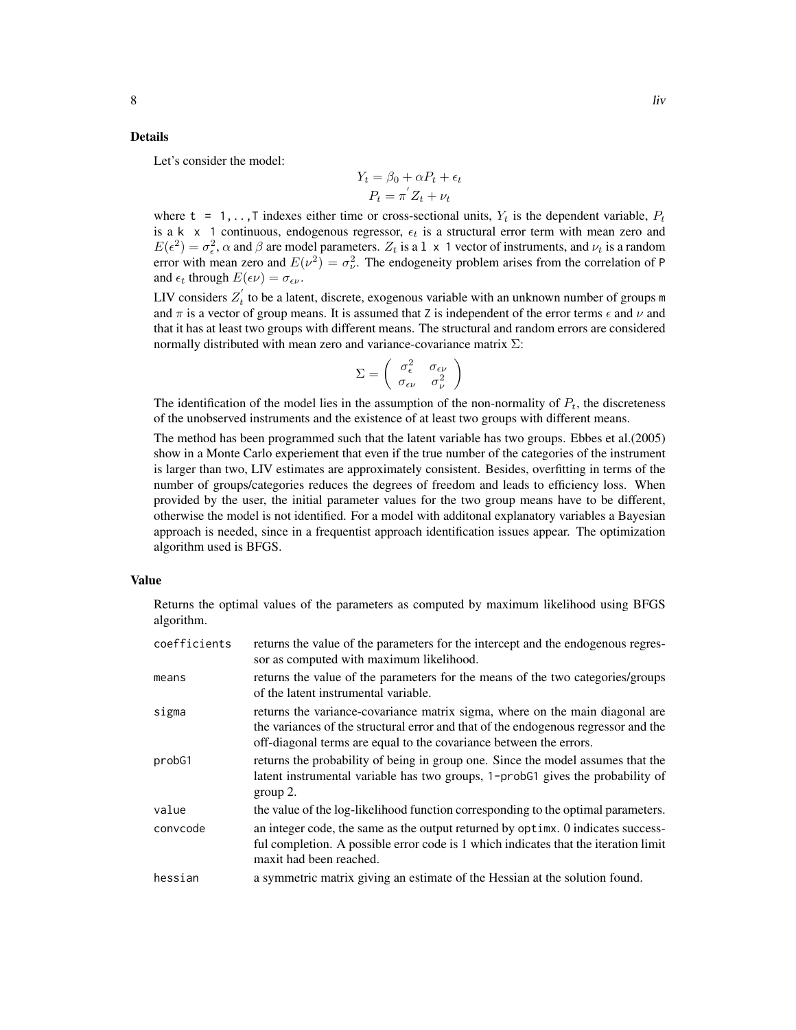# Details

Let's consider the model:

$$
Y_t = \beta_0 + \alpha P_t + \epsilon_t
$$

$$
P_t = \pi^{'} Z_t + \nu_t
$$

where  $t = 1, \ldots, T$  indexes either time or cross-sectional units,  $Y_t$  is the dependent variable,  $P_t$ is a k  $\times$  1 continuous, endogenous regressor,  $\epsilon_t$  is a structural error term with mean zero and  $E(\epsilon^2) = \sigma_{\epsilon}^2$ ,  $\alpha$  and  $\beta$  are model parameters.  $Z_t$  is a 1 x 1 vector of instruments, and  $\nu_t$  is a random error with mean zero and  $E(\nu^2) = \sigma_{\nu}^2$ . The endogeneity problem arises from the correlation of P and  $\epsilon_t$  through  $E(\epsilon \nu) = \sigma_{\epsilon \nu}$ .

LIV considers  $Z_t'$  to be a latent, discrete, exogenous variable with an unknown number of groups m and  $\pi$  is a vector of group means. It is assumed that Z is independent of the error terms  $\epsilon$  and  $\nu$  and that it has at least two groups with different means. The structural and random errors are considered normally distributed with mean zero and variance-covariance matrix  $\Sigma$ :

$$
\Sigma = \left(\begin{array}{cc} \sigma_{\epsilon}^2 & \sigma_{\epsilon\nu} \\ \sigma_{\epsilon\nu} & \sigma_{\nu}^2 \end{array}\right)
$$

The identification of the model lies in the assumption of the non-normality of  $P_t$ , the discreteness of the unobserved instruments and the existence of at least two groups with different means.

The method has been programmed such that the latent variable has two groups. Ebbes et al.(2005) show in a Monte Carlo experiement that even if the true number of the categories of the instrument is larger than two, LIV estimates are approximately consistent. Besides, overfitting in terms of the number of groups/categories reduces the degrees of freedom and leads to efficiency loss. When provided by the user, the initial parameter values for the two group means have to be different, otherwise the model is not identified. For a model with additonal explanatory variables a Bayesian approach is needed, since in a frequentist approach identification issues appear. The optimization algorithm used is BFGS.

# Value

Returns the optimal values of the parameters as computed by maximum likelihood using BFGS algorithm.

| coefficients | returns the value of the parameters for the intercept and the endogenous regres-<br>sor as computed with maximum likelihood.                                                                                                             |
|--------------|------------------------------------------------------------------------------------------------------------------------------------------------------------------------------------------------------------------------------------------|
| means        | returns the value of the parameters for the means of the two categories/groups<br>of the latent instrumental variable.                                                                                                                   |
| sigma        | returns the variance-covariance matrix sigma, where on the main diagonal are<br>the variances of the structural error and that of the endogenous regressor and the<br>off-diagonal terms are equal to the covariance between the errors. |
| probG1       | returns the probability of being in group one. Since the model assumes that the<br>latent instrumental variable has two groups, 1-probG1 gives the probability of<br>$group 2$ .                                                         |
| value        | the value of the log-likelihood function corresponding to the optimal parameters.                                                                                                                                                        |
| convcode     | an integer code, the same as the output returned by optime. O indicates success-<br>ful completion. A possible error code is 1 which indicates that the iteration limit<br>maxit had been reached.                                       |
| hessian      | a symmetric matrix giving an estimate of the Hessian at the solution found.                                                                                                                                                              |
|              |                                                                                                                                                                                                                                          |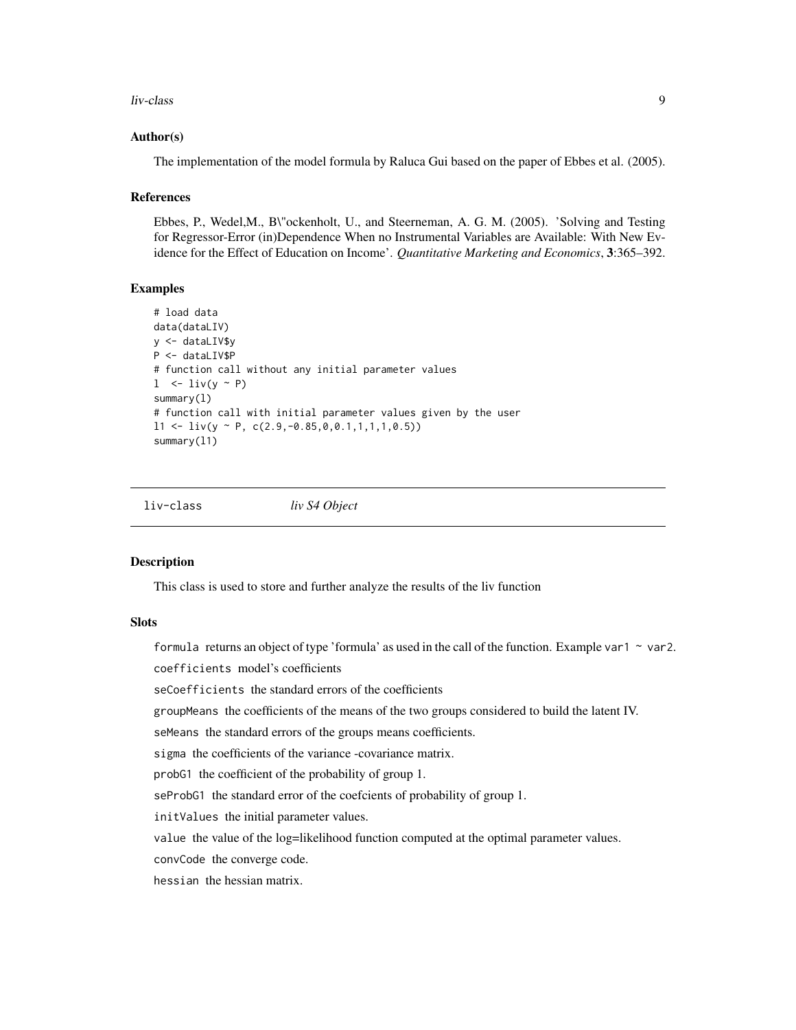# <span id="page-8-0"></span>liv-class 9

# Author(s)

The implementation of the model formula by Raluca Gui based on the paper of Ebbes et al. (2005).

# **References**

Ebbes, P., Wedel,M., B\"ockenholt, U., and Steerneman, A. G. M. (2005). 'Solving and Testing for Regressor-Error (in)Dependence When no Instrumental Variables are Available: With New Evidence for the Effect of Education on Income'. *Quantitative Marketing and Economics*, 3:365–392.

# Examples

```
# load data
data(dataLIV)
y <- dataLIV$y
P <- dataLIV$P
# function call without any initial parameter values
l \le -\text{liv}(y \sim P)summary(l)
# function call with initial parameter values given by the user
11 \leftarrow \text{liv}(y \sim P, \text{c}(2.9, -0.85, 0, 0.1, 1, 1, 1, 0.5))summary(l1)
```
liv-class *liv S4 Object*

### Description

This class is used to store and further analyze the results of the liv function

# **Slots**

formula returns an object of type 'formula' as used in the call of the function. Example var1  $\sim$  var2. coefficients model's coefficients

seCoefficients the standard errors of the coefficients

groupMeans the coefficients of the means of the two groups considered to build the latent IV.

seMeans the standard errors of the groups means coefficients.

sigma the coefficients of the variance -covariance matrix.

probG1 the coefficient of the probability of group 1.

seProbG1 the standard error of the coefcients of probability of group 1.

initValues the initial parameter values.

value the value of the log=likelihood function computed at the optimal parameter values.

convCode the converge code.

hessian the hessian matrix.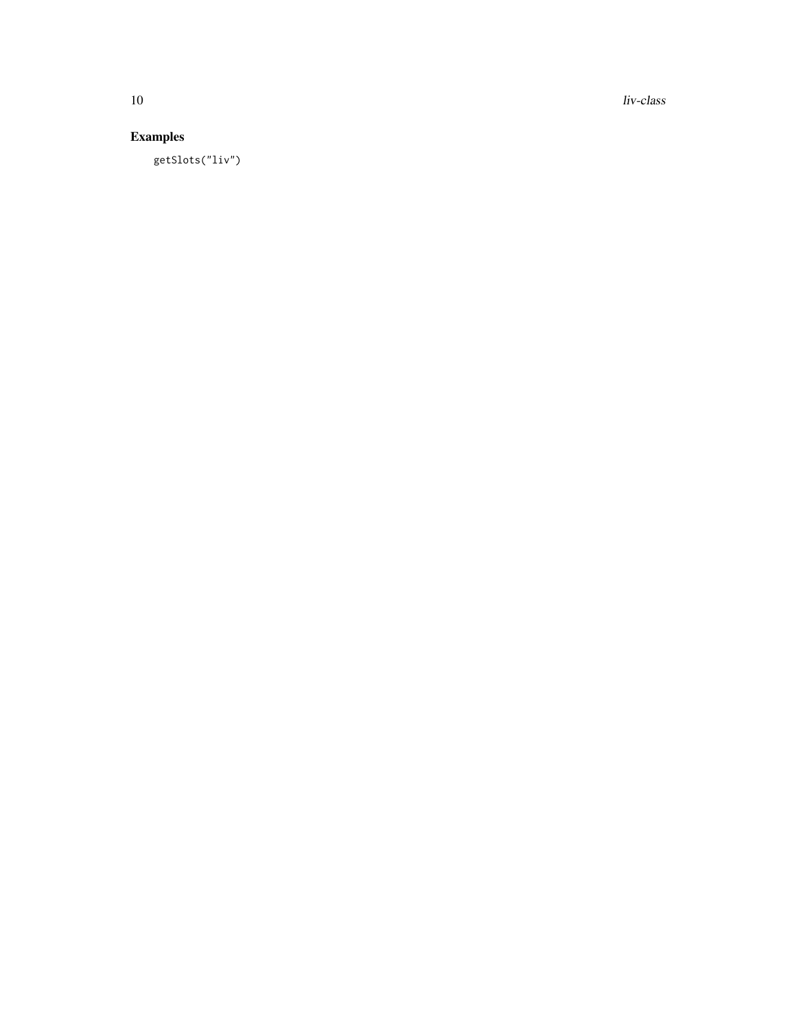10 liv-class

# Examples

getSlots("liv")